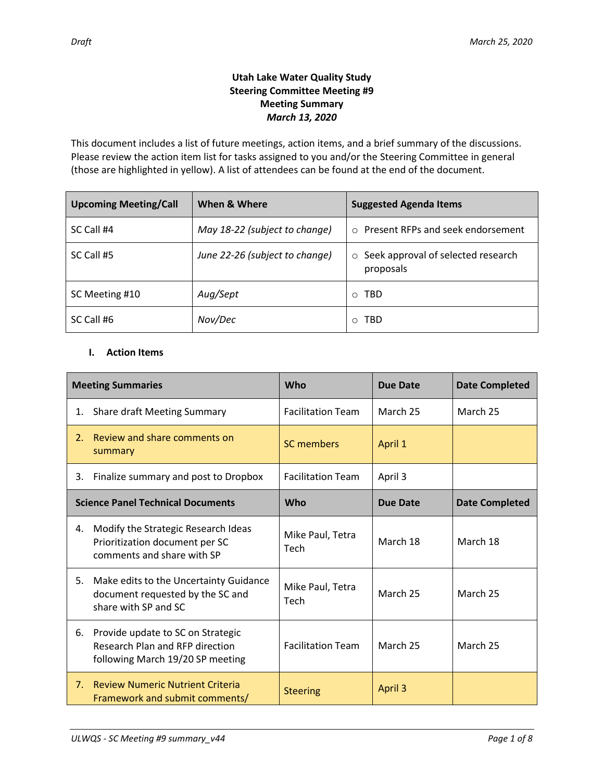## **Utah Lake Water Quality Study Steering Committee Meeting #9 Meeting Summary** *March 13, 2020*

This document includes a list of future meetings, action items, and a brief summary of the discussions. Please review the action item list for tasks assigned to you and/or the Steering Committee in general (those are highlighted in yellow). A list of attendees can be found at the end of the document.

| <b>Upcoming Meeting/Call</b> | When & Where                   | <b>Suggested Agenda Items</b>                           |
|------------------------------|--------------------------------|---------------------------------------------------------|
| SC Call #4                   | May 18-22 (subject to change)  | ○ Present RFPs and seek endorsement                     |
| SC Call #5                   | June 22-26 (subject to change) | $\circ$ Seek approval of selected research<br>proposals |
| SC Meeting #10               | Aug/Sept                       | <b>TBD</b><br>$\circ$                                   |
| SC Call #6                   | Nov/Dec                        | TBD<br>$\circ$                                          |

## **I. Action Items**

| <b>Meeting Summaries</b>                 |                                                                                                                 | Who                      | Due Date        | <b>Date Completed</b> |
|------------------------------------------|-----------------------------------------------------------------------------------------------------------------|--------------------------|-----------------|-----------------------|
| 1.                                       | <b>Share draft Meeting Summary</b>                                                                              | <b>Facilitation Team</b> | March 25        | March 25              |
| 2.                                       | Review and share comments on<br>summary                                                                         | SC members               | April 1         |                       |
| 3.                                       | Finalize summary and post to Dropbox                                                                            | <b>Facilitation Team</b> | April 3         |                       |
| <b>Science Panel Technical Documents</b> |                                                                                                                 | <b>Who</b>               | <b>Due Date</b> | <b>Date Completed</b> |
| 4.                                       | Modify the Strategic Research Ideas<br>Prioritization document per SC<br>comments and share with SP             | Mike Paul, Tetra<br>Tech | March 18        | March 18              |
| 5.                                       | Make edits to the Uncertainty Guidance<br>document requested by the SC and<br>share with SP and SC              | Mike Paul, Tetra<br>Tech | March 25        | March 25              |
| 6.                                       | Provide update to SC on Strategic<br><b>Research Plan and RFP direction</b><br>following March 19/20 SP meeting | <b>Facilitation Team</b> | March 25        | March 25              |
| 7.                                       | <b>Review Numeric Nutrient Criteria</b><br>Framework and submit comments/                                       | <b>Steering</b>          | April 3         |                       |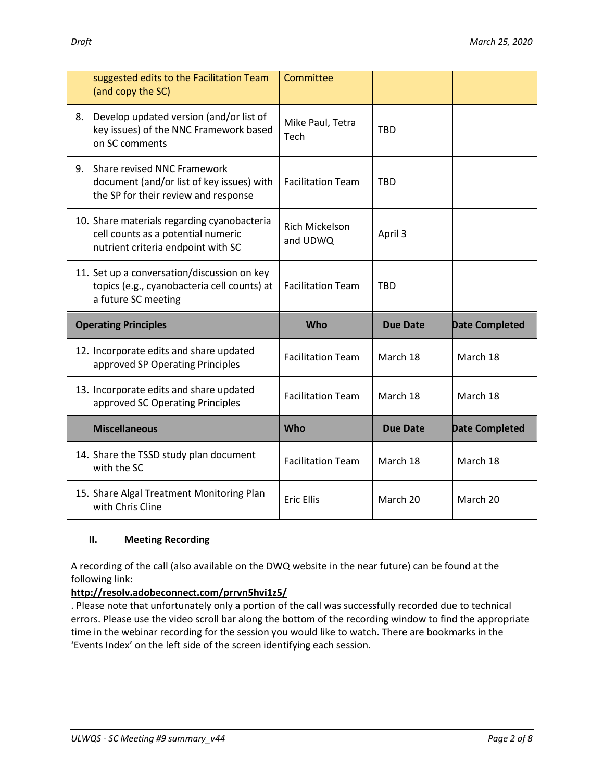|                             | suggested edits to the Facilitation Team<br>(and copy the SC)                                                           | Committee                         |                 |                       |
|-----------------------------|-------------------------------------------------------------------------------------------------------------------------|-----------------------------------|-----------------|-----------------------|
| 8.                          | Develop updated version (and/or list of<br>key issues) of the NNC Framework based<br>on SC comments                     | Mike Paul, Tetra<br>Tech          | <b>TBD</b>      |                       |
| 9.                          | Share revised NNC Framework<br>document (and/or list of key issues) with<br>the SP for their review and response        | <b>Facilitation Team</b>          | <b>TBD</b>      |                       |
|                             | 10. Share materials regarding cyanobacteria<br>cell counts as a potential numeric<br>nutrient criteria endpoint with SC | <b>Rich Mickelson</b><br>and UDWQ | April 3         |                       |
|                             | 11. Set up a conversation/discussion on key<br>topics (e.g., cyanobacteria cell counts) at<br>a future SC meeting       | <b>Facilitation Team</b>          | <b>TBD</b>      |                       |
| <b>Operating Principles</b> |                                                                                                                         | Who                               | <b>Due Date</b> | <b>Date Completed</b> |
|                             |                                                                                                                         |                                   |                 |                       |
|                             | 12. Incorporate edits and share updated<br>approved SP Operating Principles                                             | <b>Facilitation Team</b>          | March 18        | March 18              |
|                             | 13. Incorporate edits and share updated<br>approved SC Operating Principles                                             | <b>Facilitation Team</b>          | March 18        | March 18              |
|                             | <b>Miscellaneous</b>                                                                                                    | Who                               | <b>Due Date</b> | <b>Date Completed</b> |
|                             | 14. Share the TSSD study plan document<br>with the SC                                                                   | <b>Facilitation Team</b>          | March 18        | March 18              |

## **II. Meeting Recording**

A recording of the call (also available on the DWQ website in the near future) can be found at the following link:

# **[http://resolv.adobeconnect.com/prrvn5hvi1z5/](http://resolv.adobeconnect.com/prrvn5hvi1z5/?OWASP_CSRFTOKEN=1601372c15b6d3c1edcd4573c560f453eab8ba44c01dd4e1eb7534c03a5010fd)**

. Please note that unfortunately only a portion of the call was successfully recorded due to technical errors. Please use the video scroll bar along the bottom of the recording window to find the appropriate time in the webinar recording for the session you would like to watch. There are bookmarks in the 'Events Index' on the left side of the screen identifying each session.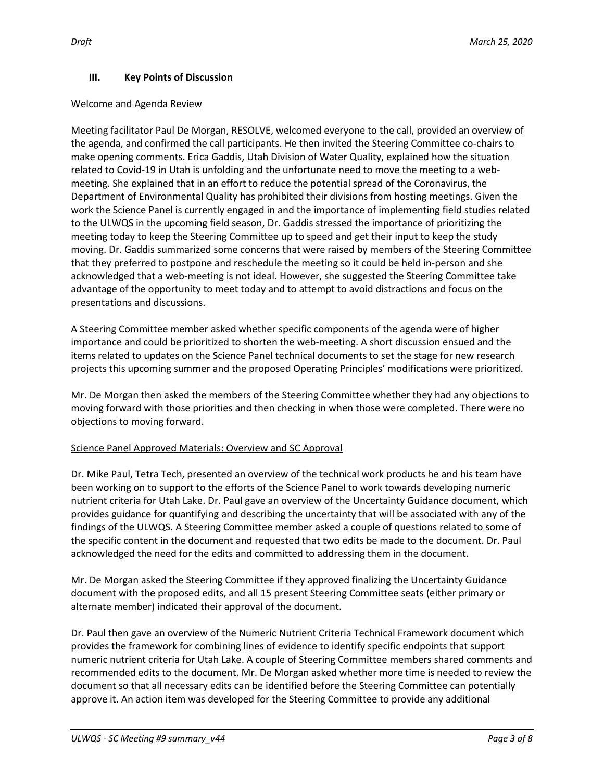## **III. Key Points of Discussion**

### Welcome and Agenda Review

Meeting facilitator Paul De Morgan, RESOLVE, welcomed everyone to the call, provided an overview of the agenda, and confirmed the call participants. He then invited the Steering Committee co-chairs to make opening comments. Erica Gaddis, Utah Division of Water Quality, explained how the situation related to Covid-19 in Utah is unfolding and the unfortunate need to move the meeting to a webmeeting. She explained that in an effort to reduce the potential spread of the Coronavirus, the Department of Environmental Quality has prohibited their divisions from hosting meetings. Given the work the Science Panel is currently engaged in and the importance of implementing field studies related to the ULWQS in the upcoming field season, Dr. Gaddis stressed the importance of prioritizing the meeting today to keep the Steering Committee up to speed and get their input to keep the study moving. Dr. Gaddis summarized some concerns that were raised by members of the Steering Committee that they preferred to postpone and reschedule the meeting so it could be held in-person and she acknowledged that a web-meeting is not ideal. However, she suggested the Steering Committee take advantage of the opportunity to meet today and to attempt to avoid distractions and focus on the presentations and discussions.

A Steering Committee member asked whether specific components of the agenda were of higher importance and could be prioritized to shorten the web-meeting. A short discussion ensued and the items related to updates on the Science Panel technical documents to set the stage for new research projects this upcoming summer and the proposed Operating Principles' modifications were prioritized.

Mr. De Morgan then asked the members of the Steering Committee whether they had any objections to moving forward with those priorities and then checking in when those were completed. There were no objections to moving forward.

## Science Panel Approved Materials: Overview and SC Approval

Dr. Mike Paul, Tetra Tech, presented an overview of the technical work products he and his team have been working on to support to the efforts of the Science Panel to work towards developing numeric nutrient criteria for Utah Lake. Dr. Paul gave an overview of the Uncertainty Guidance document, which provides guidance for quantifying and describing the uncertainty that will be associated with any of the findings of the ULWQS. A Steering Committee member asked a couple of questions related to some of the specific content in the document and requested that two edits be made to the document. Dr. Paul acknowledged the need for the edits and committed to addressing them in the document.

Mr. De Morgan asked the Steering Committee if they approved finalizing the Uncertainty Guidance document with the proposed edits, and all 15 present Steering Committee seats (either primary or alternate member) indicated their approval of the document.

Dr. Paul then gave an overview of the Numeric Nutrient Criteria Technical Framework document which provides the framework for combining lines of evidence to identify specific endpoints that support numeric nutrient criteria for Utah Lake. A couple of Steering Committee members shared comments and recommended edits to the document. Mr. De Morgan asked whether more time is needed to review the document so that all necessary edits can be identified before the Steering Committee can potentially approve it. An action item was developed for the Steering Committee to provide any additional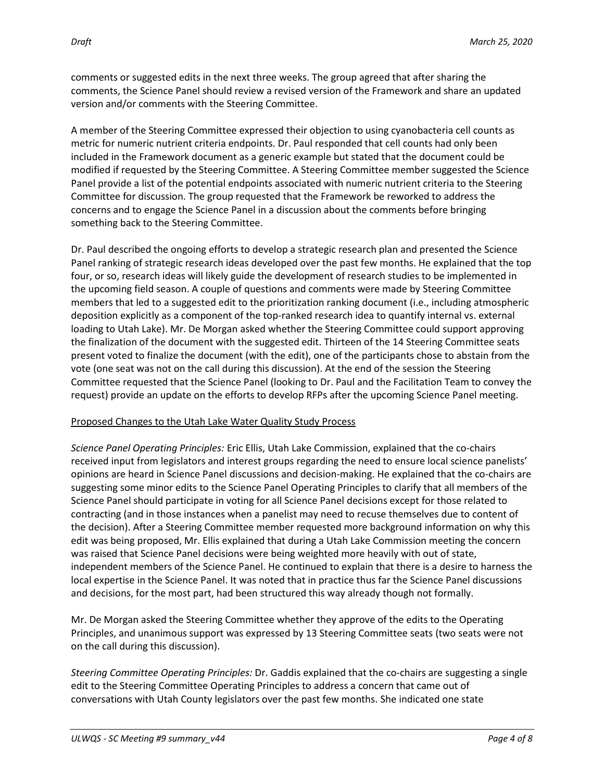comments or suggested edits in the next three weeks. The group agreed that after sharing the comments, the Science Panel should review a revised version of the Framework and share an updated version and/or comments with the Steering Committee.

A member of the Steering Committee expressed their objection to using cyanobacteria cell counts as metric for numeric nutrient criteria endpoints. Dr. Paul responded that cell counts had only been included in the Framework document as a generic example but stated that the document could be modified if requested by the Steering Committee. A Steering Committee member suggested the Science Panel provide a list of the potential endpoints associated with numeric nutrient criteria to the Steering Committee for discussion. The group requested that the Framework be reworked to address the concerns and to engage the Science Panel in a discussion about the comments before bringing something back to the Steering Committee.

Dr. Paul described the ongoing efforts to develop a strategic research plan and presented the Science Panel ranking of strategic research ideas developed over the past few months. He explained that the top four, or so, research ideas will likely guide the development of research studies to be implemented in the upcoming field season. A couple of questions and comments were made by Steering Committee members that led to a suggested edit to the prioritization ranking document (i.e., including atmospheric deposition explicitly as a component of the top-ranked research idea to quantify internal vs. external loading to Utah Lake). Mr. De Morgan asked whether the Steering Committee could support approving the finalization of the document with the suggested edit. Thirteen of the 14 Steering Committee seats present voted to finalize the document (with the edit), one of the participants chose to abstain from the vote (one seat was not on the call during this discussion). At the end of the session the Steering Committee requested that the Science Panel (looking to Dr. Paul and the Facilitation Team to convey the request) provide an update on the efforts to develop RFPs after the upcoming Science Panel meeting.

## Proposed Changes to the Utah Lake Water Quality Study Process

*Science Panel Operating Principles:* Eric Ellis, Utah Lake Commission, explained that the co-chairs received input from legislators and interest groups regarding the need to ensure local science panelists' opinions are heard in Science Panel discussions and decision-making. He explained that the co-chairs are suggesting some minor edits to the Science Panel Operating Principles to clarify that all members of the Science Panel should participate in voting for all Science Panel decisions except for those related to contracting (and in those instances when a panelist may need to recuse themselves due to content of the decision). After a Steering Committee member requested more background information on why this edit was being proposed, Mr. Ellis explained that during a Utah Lake Commission meeting the concern was raised that Science Panel decisions were being weighted more heavily with out of state, independent members of the Science Panel. He continued to explain that there is a desire to harness the local expertise in the Science Panel. It was noted that in practice thus far the Science Panel discussions and decisions, for the most part, had been structured this way already though not formally.

Mr. De Morgan asked the Steering Committee whether they approve of the edits to the Operating Principles, and unanimous support was expressed by 13 Steering Committee seats (two seats were not on the call during this discussion).

*Steering Committee Operating Principles:* Dr. Gaddis explained that the co-chairs are suggesting a single edit to the Steering Committee Operating Principles to address a concern that came out of conversations with Utah County legislators over the past few months. She indicated one state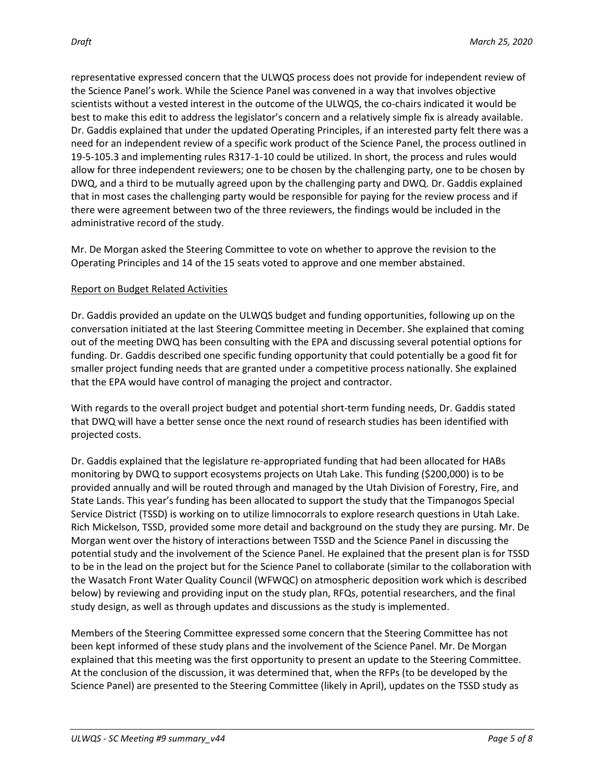representative expressed concern that the ULWQS process does not provide for independent review of the Science Panel's work. While the Science Panel was convened in a way that involves objective scientists without a vested interest in the outcome of the ULWQS, the co-chairs indicated it would be best to make this edit to address the legislator's concern and a relatively simple fix is already available. Dr. Gaddis explained that under the updated Operating Principles, if an interested party felt there was a need for an independent review of a specific work product of the Science Panel, the process outlined in 19-5-105.3 and implementing rules R317-1-10 could be utilized. In short, the process and rules would allow for three independent reviewers; one to be chosen by the challenging party, one to be chosen by DWQ, and a third to be mutually agreed upon by the challenging party and DWQ. Dr. Gaddis explained that in most cases the challenging party would be responsible for paying for the review process and if there were agreement between two of the three reviewers, the findings would be included in the administrative record of the study.

Mr. De Morgan asked the Steering Committee to vote on whether to approve the revision to the Operating Principles and 14 of the 15 seats voted to approve and one member abstained.

## Report on Budget Related Activities

Dr. Gaddis provided an update on the ULWQS budget and funding opportunities, following up on the conversation initiated at the last Steering Committee meeting in December. She explained that coming out of the meeting DWQ has been consulting with the EPA and discussing several potential options for funding. Dr. Gaddis described one specific funding opportunity that could potentially be a good fit for smaller project funding needs that are granted under a competitive process nationally. She explained that the EPA would have control of managing the project and contractor.

With regards to the overall project budget and potential short-term funding needs, Dr. Gaddis stated that DWQ will have a better sense once the next round of research studies has been identified with projected costs.

Dr. Gaddis explained that the legislature re-appropriated funding that had been allocated for HABs monitoring by DWQ to support ecosystems projects on Utah Lake. This funding (\$200,000) is to be provided annually and will be routed through and managed by the Utah Division of Forestry, Fire, and State Lands. This year's funding has been allocated to support the study that the Timpanogos Special Service District (TSSD) is working on to utilize limnocorrals to explore research questions in Utah Lake. Rich Mickelson, TSSD, provided some more detail and background on the study they are pursing. Mr. De Morgan went over the history of interactions between TSSD and the Science Panel in discussing the potential study and the involvement of the Science Panel. He explained that the present plan is for TSSD to be in the lead on the project but for the Science Panel to collaborate (similar to the collaboration with the Wasatch Front Water Quality Council (WFWQC) on atmospheric deposition work which is described below) by reviewing and providing input on the study plan, RFQs, potential researchers, and the final study design, as well as through updates and discussions as the study is implemented.

Members of the Steering Committee expressed some concern that the Steering Committee has not been kept informed of these study plans and the involvement of the Science Panel. Mr. De Morgan explained that this meeting was the first opportunity to present an update to the Steering Committee. At the conclusion of the discussion, it was determined that, when the RFPs (to be developed by the Science Panel) are presented to the Steering Committee (likely in April), updates on the TSSD study as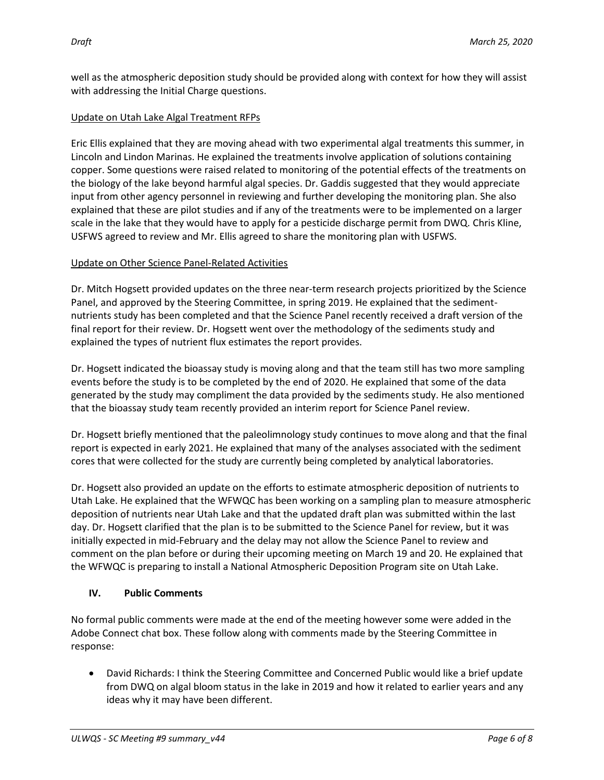well as the atmospheric deposition study should be provided along with context for how they will assist with addressing the Initial Charge questions.

## Update on Utah Lake Algal Treatment RFPs

Eric Ellis explained that they are moving ahead with two experimental algal treatments this summer, in Lincoln and Lindon Marinas. He explained the treatments involve application of solutions containing copper. Some questions were raised related to monitoring of the potential effects of the treatments on the biology of the lake beyond harmful algal species. Dr. Gaddis suggested that they would appreciate input from other agency personnel in reviewing and further developing the monitoring plan. She also explained that these are pilot studies and if any of the treatments were to be implemented on a larger scale in the lake that they would have to apply for a pesticide discharge permit from DWQ. Chris Kline, USFWS agreed to review and Mr. Ellis agreed to share the monitoring plan with USFWS.

## Update on Other Science Panel-Related Activities

Dr. Mitch Hogsett provided updates on the three near-term research projects prioritized by the Science Panel, and approved by the Steering Committee, in spring 2019. He explained that the sedimentnutrients study has been completed and that the Science Panel recently received a draft version of the final report for their review. Dr. Hogsett went over the methodology of the sediments study and explained the types of nutrient flux estimates the report provides.

Dr. Hogsett indicated the bioassay study is moving along and that the team still has two more sampling events before the study is to be completed by the end of 2020. He explained that some of the data generated by the study may compliment the data provided by the sediments study. He also mentioned that the bioassay study team recently provided an interim report for Science Panel review.

Dr. Hogsett briefly mentioned that the paleolimnology study continues to move along and that the final report is expected in early 2021. He explained that many of the analyses associated with the sediment cores that were collected for the study are currently being completed by analytical laboratories.

Dr. Hogsett also provided an update on the efforts to estimate atmospheric deposition of nutrients to Utah Lake. He explained that the WFWQC has been working on a sampling plan to measure atmospheric deposition of nutrients near Utah Lake and that the updated draft plan was submitted within the last day. Dr. Hogsett clarified that the plan is to be submitted to the Science Panel for review, but it was initially expected in mid-February and the delay may not allow the Science Panel to review and comment on the plan before or during their upcoming meeting on March 19 and 20. He explained that the WFWQC is preparing to install a National Atmospheric Deposition Program site on Utah Lake.

# **IV. Public Comments**

No formal public comments were made at the end of the meeting however some were added in the Adobe Connect chat box. These follow along with comments made by the Steering Committee in response:

 David Richards: I think the Steering Committee and Concerned Public would like a brief update from DWQ on algal bloom status in the lake in 2019 and how it related to earlier years and any ideas why it may have been different.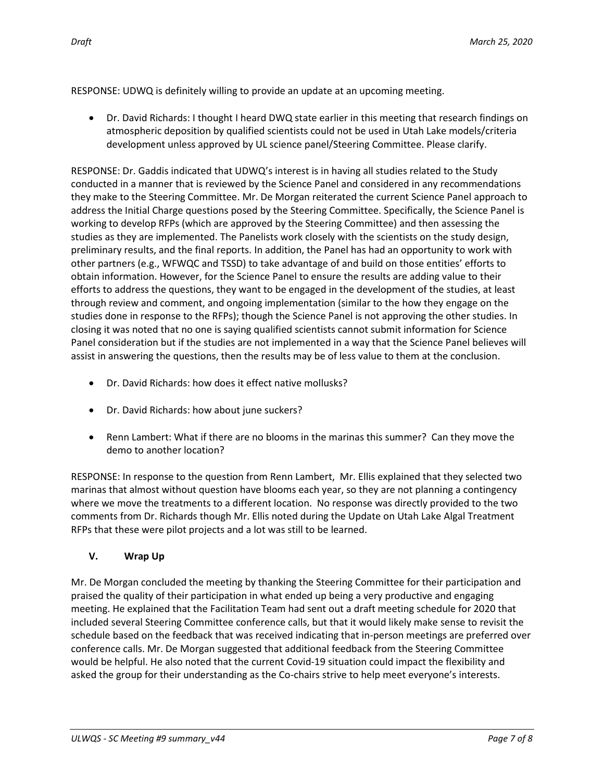RESPONSE: UDWQ is definitely willing to provide an update at an upcoming meeting.

 Dr. David Richards: I thought I heard DWQ state earlier in this meeting that research findings on atmospheric deposition by qualified scientists could not be used in Utah Lake models/criteria development unless approved by UL science panel/Steering Committee. Please clarify.

RESPONSE: Dr. Gaddis indicated that UDWQ's interest is in having all studies related to the Study conducted in a manner that is reviewed by the Science Panel and considered in any recommendations they make to the Steering Committee. Mr. De Morgan reiterated the current Science Panel approach to address the Initial Charge questions posed by the Steering Committee. Specifically, the Science Panel is working to develop RFPs (which are approved by the Steering Committee) and then assessing the studies as they are implemented. The Panelists work closely with the scientists on the study design, preliminary results, and the final reports. In addition, the Panel has had an opportunity to work with other partners (e.g., WFWQC and TSSD) to take advantage of and build on those entities' efforts to obtain information. However, for the Science Panel to ensure the results are adding value to their efforts to address the questions, they want to be engaged in the development of the studies, at least through review and comment, and ongoing implementation (similar to the how they engage on the studies done in response to the RFPs); though the Science Panel is not approving the other studies. In closing it was noted that no one is saying qualified scientists cannot submit information for Science Panel consideration but if the studies are not implemented in a way that the Science Panel believes will assist in answering the questions, then the results may be of less value to them at the conclusion.

- Dr. David Richards: how does it effect native mollusks?
- Dr. David Richards: how about june suckers?
- Renn Lambert: What if there are no blooms in the marinas this summer? Can they move the demo to another location?

RESPONSE: In response to the question from Renn Lambert, Mr. Ellis explained that they selected two marinas that almost without question have blooms each year, so they are not planning a contingency where we move the treatments to a different location. No response was directly provided to the two comments from Dr. Richards though Mr. Ellis noted during the Update on Utah Lake Algal Treatment RFPs that these were pilot projects and a lot was still to be learned.

## **V. Wrap Up**

Mr. De Morgan concluded the meeting by thanking the Steering Committee for their participation and praised the quality of their participation in what ended up being a very productive and engaging meeting. He explained that the Facilitation Team had sent out a draft meeting schedule for 2020 that included several Steering Committee conference calls, but that it would likely make sense to revisit the schedule based on the feedback that was received indicating that in-person meetings are preferred over conference calls. Mr. De Morgan suggested that additional feedback from the Steering Committee would be helpful. He also noted that the current Covid-19 situation could impact the flexibility and asked the group for their understanding as the Co-chairs strive to help meet everyone's interests.